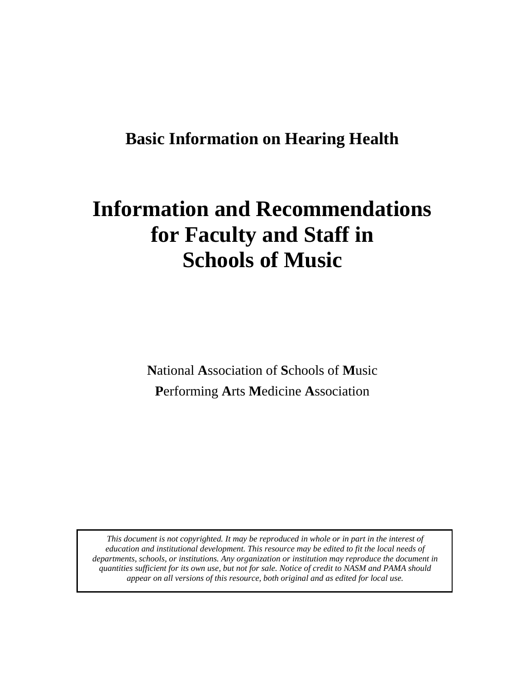# **Basic Information on Hearing Health**

# **Information and Recommendations for Faculty and Staff in Schools of Music**

**N**ational **A**ssociation of **S**chools of **M**usic **P**erforming **A**rts **M**edicine **A**ssociation

*This document is not copyrighted. It may be reproduced in whole or in part in the interest of education and institutional development. This resource may be edited to fit the local needs of departments, schools, or institutions. Any organization or institution may reproduce the document in quantities sufficient for its own use, but not for sale. Notice of credit to NASM and PAMA should appear on all versions of this resource, both original and as edited for local use.*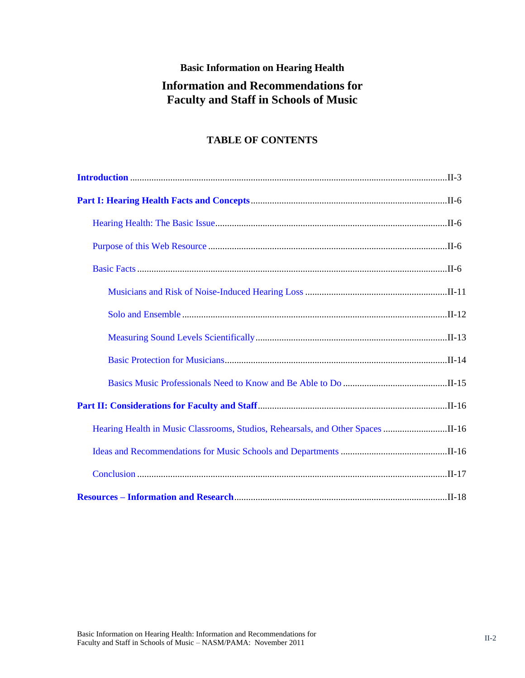## **Basic Information on Hearing Health**

# **Information and Recommendations for Faculty and Staff in Schools of Music**

## **TABLE OF CONTENTS**

<span id="page-1-0"></span>

| Hearing Health in Music Classrooms, Studios, Rehearsals, and Other Spaces II-16 |  |
|---------------------------------------------------------------------------------|--|
|                                                                                 |  |
|                                                                                 |  |
|                                                                                 |  |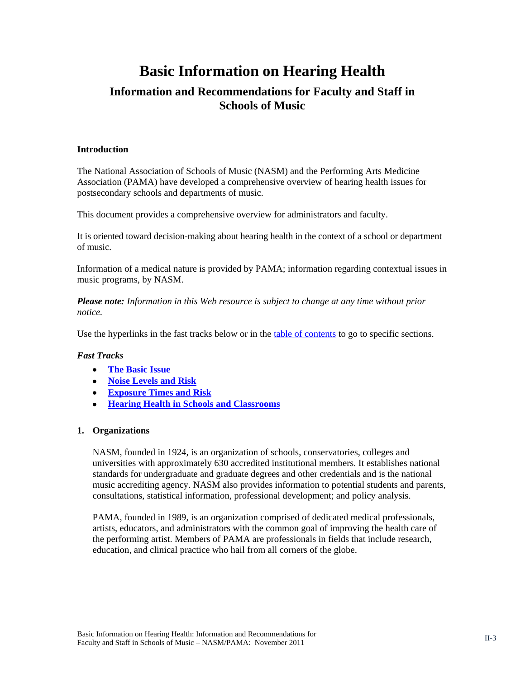# **Basic Information on Hearing Health**

# **Information and Recommendations for Faculty and Staff in Schools of Music**

#### <span id="page-2-0"></span>**Introduction**

The National Association of Schools of Music (NASM) and the Performing Arts Medicine Association (PAMA) have developed a comprehensive overview of hearing health issues for postsecondary schools and departments of music.

This document provides a comprehensive overview for administrators and faculty.

It is oriented toward decision-making about hearing health in the context of a school or department of music.

Information of a medical nature is provided by PAMA; information regarding contextual issues in music programs, by NASM.

*Please note: Information in this Web resource is subject to change at any time without prior notice.*

Use the hyperlinks in the fast tracks below or in the [table of contents](#page-1-0) to go to specific sections.

#### *Fast Tracks*

- **[The Basic Issue](#page-5-1)**
- **[Noise Levels and Risk](#page-8-0)**
- **[Exposure Times and Risk](#page-9-0)**
- **[Hearing Health in Schools and Classrooms](#page-15-1)**

#### **1. Organizations**

NASM, founded in 1924, is an organization of schools, conservatories, colleges and universities with approximately 630 accredited institutional members. It establishes national standards for undergraduate and graduate degrees and other credentials and is the national music accrediting agency. NASM also provides information to potential students and parents, consultations, statistical information, professional development; and policy analysis.

PAMA, founded in 1989, is an organization comprised of dedicated medical professionals, artists, educators, and administrators with the common goal of improving the health care of the performing artist. Members of PAMA are professionals in fields that include research, education, and clinical practice who hail from all corners of the globe.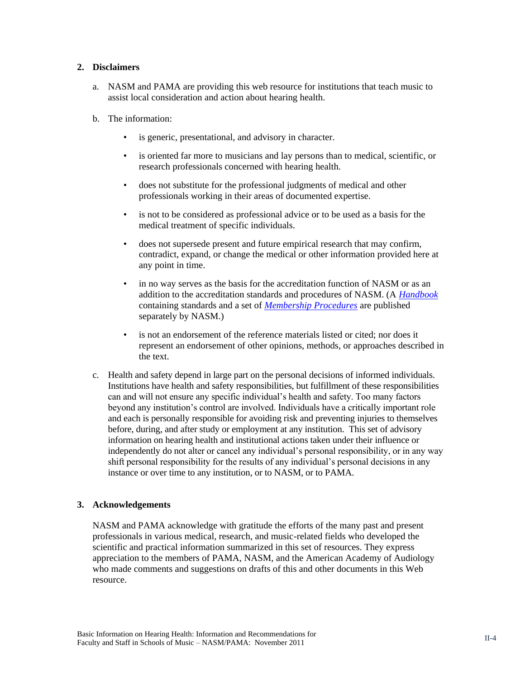#### **2. Disclaimers**

- a. NASM and PAMA are providing this web resource for institutions that teach music to assist local consideration and action about hearing health.
- b. The information:
	- is generic, presentational, and advisory in character.
	- is oriented far more to musicians and lay persons than to medical, scientific, or research professionals concerned with hearing health.
	- does not substitute for the professional judgments of medical and other professionals working in their areas of documented expertise.
	- is not to be considered as professional advice or to be used as a basis for the medical treatment of specific individuals.
	- does not supersede present and future empirical research that may confirm, contradict, expand, or change the medical or other information provided here at any point in time.
	- in no way serves as the basis for the accreditation function of NASM or as an addition to the accreditation standards and procedures of NASM. (A *[Handbook](http://nasm.arts-accredit.org/index.jsp?page=Standards-Handbook)* containing standards and a set of *[Membership Procedures](http://nasm.arts-accredit.org/index.jsp?page=Official%20NASM%20Procedures)* are published separately by NASM.)
	- is not an endorsement of the reference materials listed or cited; nor does it represent an endorsement of other opinions, methods, or approaches described in the text.
- c. Health and safety depend in large part on the personal decisions of informed individuals. Institutions have health and safety responsibilities, but fulfillment of these responsibilities can and will not ensure any specific individual's health and safety. Too many factors beyond any institution's control are involved. Individuals have a critically important role and each is personally responsible for avoiding risk and preventing injuries to themselves before, during, and after study or employment at any institution. This set of advisory information on hearing health and institutional actions taken under their influence or independently do not alter or cancel any individual's personal responsibility, or in any way shift personal responsibility for the results of any individual's personal decisions in any instance or over time to any institution, or to NASM, or to PAMA.

#### **3. Acknowledgements**

NASM and PAMA acknowledge with gratitude the efforts of the many past and present professionals in various medical, research, and music-related fields who developed the scientific and practical information summarized in this set of resources. They express appreciation to the members of PAMA, NASM, and the American Academy of Audiology who made comments and suggestions on drafts of this and other documents in this Web resource.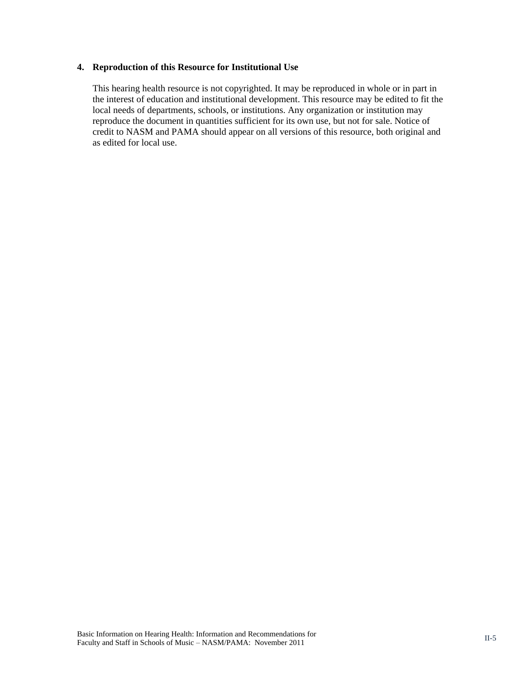#### **4. Reproduction of this Resource for Institutional Use**

This hearing health resource is not copyrighted. It may be reproduced in whole or in part in the interest of education and institutional development. This resource may be edited to fit the local needs of departments, schools, or institutions. Any organization or institution may reproduce the document in quantities sufficient for its own use, but not for sale. Notice of credit to NASM and PAMA should appear on all versions of this resource, both original and as edited for local use.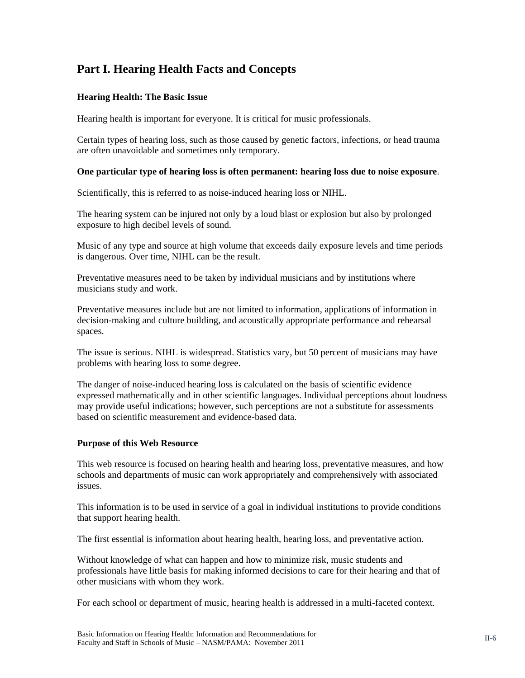# <span id="page-5-0"></span>**Part I. Hearing Health Facts and Concepts**

#### <span id="page-5-1"></span>**Hearing Health: The Basic Issue**

Hearing health is important for everyone. It is critical for music professionals.

Certain types of hearing loss, such as those caused by genetic factors, infections, or head trauma are often unavoidable and sometimes only temporary.

#### **One particular type of hearing loss is often permanent: hearing loss due to noise exposure**.

Scientifically, this is referred to as noise-induced hearing loss or NIHL.

The hearing system can be injured not only by a loud blast or explosion but also by prolonged exposure to high decibel levels of sound.

Music of any type and source at high volume that exceeds daily exposure levels and time periods is dangerous. Over time, NIHL can be the result.

Preventative measures need to be taken by individual musicians and by institutions where musicians study and work.

Preventative measures include but are not limited to information, applications of information in decision-making and culture building, and acoustically appropriate performance and rehearsal spaces.

The issue is serious. NIHL is widespread. Statistics vary, but 50 percent of musicians may have problems with hearing loss to some degree.

The danger of noise-induced hearing loss is calculated on the basis of scientific evidence expressed mathematically and in other scientific languages. Individual perceptions about loudness may provide useful indications; however, such perceptions are not a substitute for assessments based on scientific measurement and evidence-based data.

#### <span id="page-5-2"></span>**Purpose of this Web Resource**

This web resource is focused on hearing health and hearing loss, preventative measures, and how schools and departments of music can work appropriately and comprehensively with associated issues.

This information is to be used in service of a goal in individual institutions to provide conditions that support hearing health.

The first essential is information about hearing health, hearing loss, and preventative action.

Without knowledge of what can happen and how to minimize risk, music students and professionals have little basis for making informed decisions to care for their hearing and that of other musicians with whom they work.

For each school or department of music, hearing health is addressed in a multi-faceted context.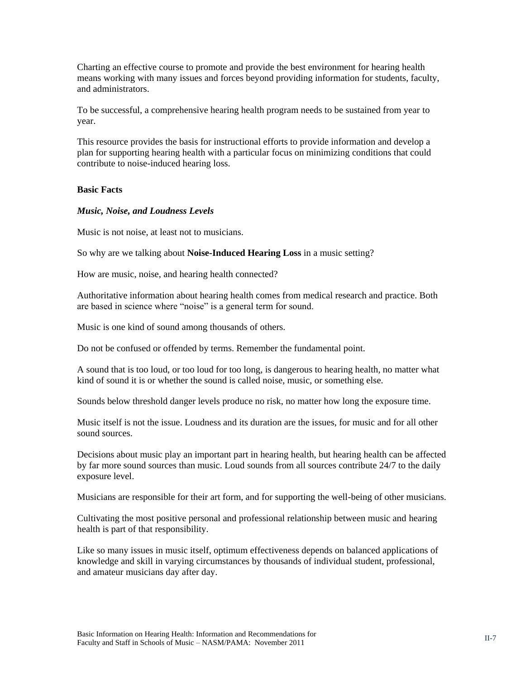Charting an effective course to promote and provide the best environment for hearing health means working with many issues and forces beyond providing information for students, faculty, and administrators.

To be successful, a comprehensive hearing health program needs to be sustained from year to year.

This resource provides the basis for instructional efforts to provide information and develop a plan for supporting hearing health with a particular focus on minimizing conditions that could contribute to noise-induced hearing loss.

#### <span id="page-6-0"></span>**Basic Facts**

#### *Music, Noise, and Loudness Levels*

Music is not noise, at least not to musicians.

So why are we talking about **Noise-Induced Hearing Loss** in a music setting?

How are music, noise, and hearing health connected?

Authoritative information about hearing health comes from medical research and practice. Both are based in science where "noise" is a general term for sound.

Music is one kind of sound among thousands of others.

Do not be confused or offended by terms. Remember the fundamental point.

A sound that is too loud, or too loud for too long, is dangerous to hearing health, no matter what kind of sound it is or whether the sound is called noise, music, or something else.

Sounds below threshold danger levels produce no risk, no matter how long the exposure time.

Music itself is not the issue. Loudness and its duration are the issues, for music and for all other sound sources.

Decisions about music play an important part in hearing health, but hearing health can be affected by far more sound sources than music. Loud sounds from all sources contribute 24/7 to the daily exposure level.

Musicians are responsible for their art form, and for supporting the well-being of other musicians.

Cultivating the most positive personal and professional relationship between music and hearing health is part of that responsibility.

Like so many issues in music itself, optimum effectiveness depends on balanced applications of knowledge and skill in varying circumstances by thousands of individual student, professional, and amateur musicians day after day.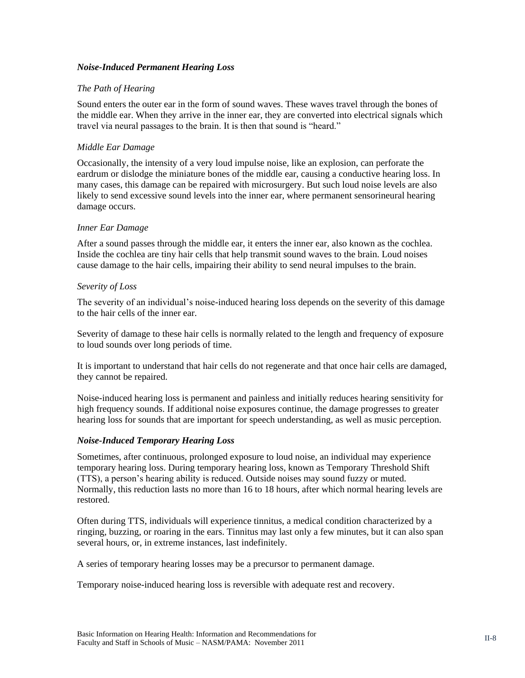#### *Noise-Induced Permanent Hearing Loss*

#### *The Path of Hearing*

Sound enters the outer ear in the form of sound waves. These waves travel through the bones of the middle ear. When they arrive in the inner ear, they are converted into electrical signals which travel via neural passages to the brain. It is then that sound is "heard."

#### *Middle Ear Damage*

Occasionally, the intensity of a very loud impulse noise, like an explosion, can perforate the eardrum or dislodge the miniature bones of the middle ear, causing a conductive hearing loss. In many cases, this damage can be repaired with microsurgery. But such loud noise levels are also likely to send excessive sound levels into the inner ear, where permanent sensorineural hearing damage occurs.

#### *Inner Ear Damage*

After a sound passes through the middle ear, it enters the inner ear, also known as the cochlea. Inside the cochlea are tiny hair cells that help transmit sound waves to the brain. Loud noises cause damage to the hair cells, impairing their ability to send neural impulses to the brain.

#### *Severity of Loss*

The severity of an individual's noise-induced hearing loss depends on the severity of this damage to the hair cells of the inner ear.

Severity of damage to these hair cells is normally related to the length and frequency of exposure to loud sounds over long periods of time.

It is important to understand that hair cells do not regenerate and that once hair cells are damaged, they cannot be repaired.

Noise-induced hearing loss is permanent and painless and initially reduces hearing sensitivity for high frequency sounds. If additional noise exposures continue, the damage progresses to greater hearing loss for sounds that are important for speech understanding, as well as music perception.

#### *Noise-Induced Temporary Hearing Loss*

Sometimes, after continuous, prolonged exposure to loud noise, an individual may experience temporary hearing loss. During temporary hearing loss, known as Temporary Threshold Shift (TTS), a person's hearing ability is reduced. Outside noises may sound fuzzy or muted. Normally, this reduction lasts no more than 16 to 18 hours, after which normal hearing levels are restored.

Often during TTS, individuals will experience tinnitus, a medical condition characterized by a ringing, buzzing, or roaring in the ears. Tinnitus may last only a few minutes, but it can also span several hours, or, in extreme instances, last indefinitely.

A series of temporary hearing losses may be a precursor to permanent damage.

Temporary noise-induced hearing loss is reversible with adequate rest and recovery.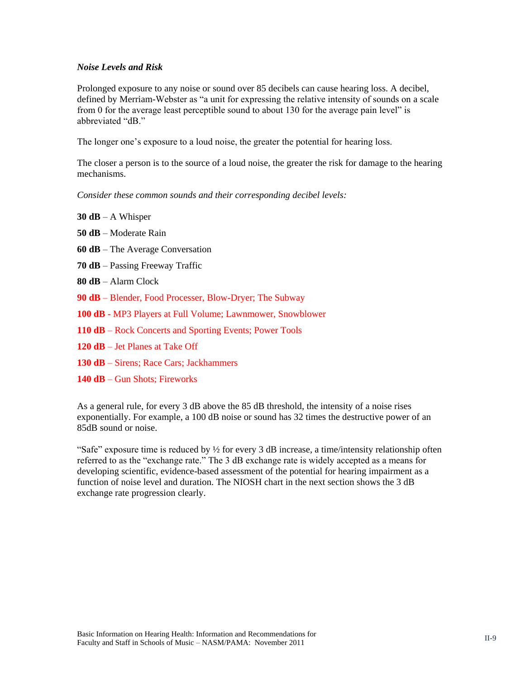#### <span id="page-8-0"></span>*Noise Levels and Risk*

Prolonged exposure to any noise or sound over 85 decibels can cause hearing loss. A decibel, defined by Merriam-Webster as "a unit for expressing the relative intensity of sounds on a scale from 0 for the average least perceptible sound to about 130 for the average pain level" is abbreviated "dB."

The longer one's exposure to a loud noise, the greater the potential for hearing loss.

The closer a person is to the source of a loud noise, the greater the risk for damage to the hearing mechanisms.

*Consider these common sounds and their corresponding decibel levels:*

- **30 dB** A Whisper
- **50 dB** Moderate Rain
- **60 dB** The Average Conversation
- **70 dB**  Passing Freeway Traffic
- **80 dB** Alarm Clock
- **90 dB** Blender, Food Processer, Blow-Dryer; The Subway
- **100 dB** MP3 Players at Full Volume; Lawnmower, Snowblower
- **110 dB** Rock Concerts and Sporting Events; Power Tools
- **120 dB** Jet Planes at Take Off
- **130 dB** Sirens; Race Cars; Jackhammers
- **140 dB** Gun Shots; Fireworks

As a general rule, for every 3 dB above the 85 dB threshold, the intensity of a noise rises exponentially. For example, a 100 dB noise or sound has 32 times the destructive power of an 85dB sound or noise.

"Safe" exposure time is reduced by ½ for every 3 dB increase, a time/intensity relationship often referred to as the "exchange rate." The 3 dB exchange rate is widely accepted as a means for developing scientific, evidence-based assessment of the potential for hearing impairment as a function of noise level and duration. The NIOSH chart in the next section shows the 3 dB exchange rate progression clearly.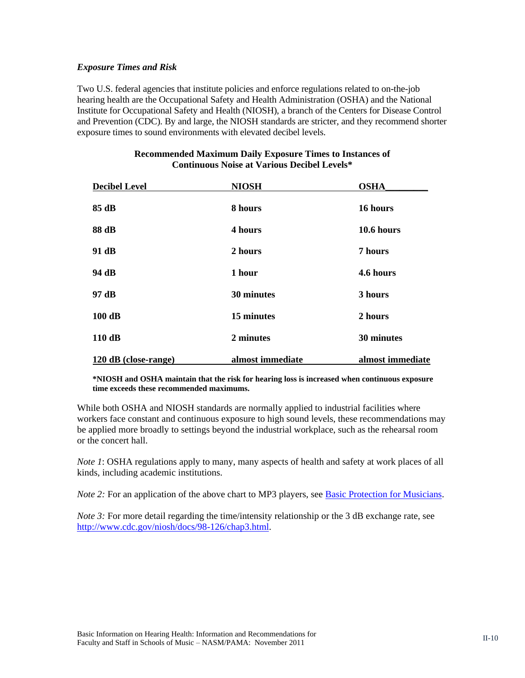#### <span id="page-9-0"></span>*Exposure Times and Risk*

Two U.S. federal agencies that institute policies and enforce regulations related to on-the-job hearing health are the Occupational Safety and Health Administration (OSHA) and the National Institute for Occupational Safety and Health (NIOSH), a branch of the Centers for Disease Control and Prevention (CDC). By and large, the NIOSH standards are stricter, and they recommend shorter exposure times to sound environments with elevated decibel levels.

| <b>Decibel Level</b> | <b>NIOSH</b>     | <b>OSHA</b>      |
|----------------------|------------------|------------------|
| 85 dB                | 8 hours          | 16 hours         |
| 88 dB                | 4 hours          | 10.6 hours       |
| 91 dB                | 2 hours          | 7 hours          |
| 94 dB                | 1 hour           | 4.6 hours        |
| 97 dB                | 30 minutes       | 3 hours          |
| $100$ dB             | 15 minutes       | 2 hours          |
| 110dB                | 2 minutes        | 30 minutes       |
| 120 dB (close-range) | almost immediate | almost immediate |

#### **Recommended Maximum Daily Exposure Times to Instances of Continuous Noise at Various Decibel Levels\***

**\*NIOSH and OSHA maintain that the risk for hearing loss is increased when continuous exposure time exceeds these recommended maximums.**

While both OSHA and NIOSH standards are normally applied to industrial facilities where workers face constant and continuous exposure to high sound levels, these recommendations may be applied more broadly to settings beyond the industrial workplace, such as the rehearsal room or the concert hall.

*Note* 1: OSHA regulations apply to many, many aspects of health and safety at work places of all kinds, including academic institutions.

*Note 2:* For an application of the above chart to MP3 players, see **Basic Protection for Musicians**.

*Note 3:* For more detail regarding the time/intensity relationship or the 3 dB exchange rate, see [http://www.cdc.gov/niosh/docs/98-126/chap3.html.](http://www.cdc.gov/niosh/docs/98-126/chap3.html)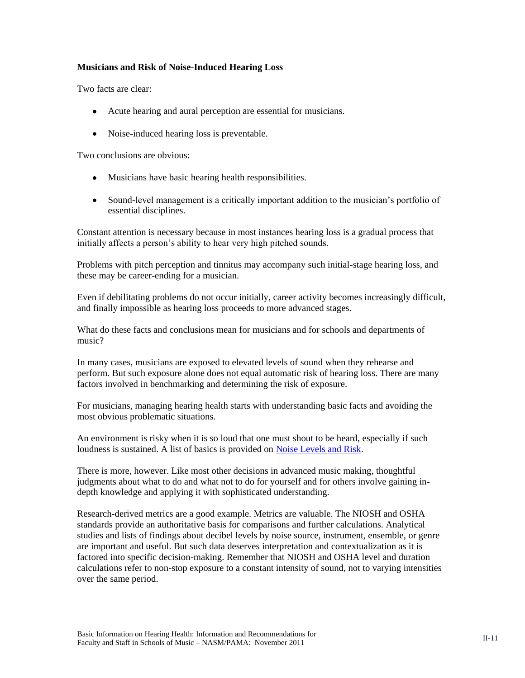#### <span id="page-10-0"></span>**Musicians and Risk of Noise-Induced Hearing Loss**

Two facts are clear:

- Acute hearing and aural perception are essential for musicians.
- Noise-induced hearing loss is preventable.

Two conclusions are obvious:

- Musicians have basic hearing health responsibilities.
- Sound-level management is a critically important addition to the musician's portfolio of essential disciplines.

Constant attention is necessary because in most instances hearing loss is a gradual process that initially affects a person's ability to hear very high pitched sounds.

Problems with pitch perception and tinnitus may accompany such initial-stage hearing loss, and these may be career-ending for a musician.

Even if debilitating problems do not occur initially, career activity becomes increasingly difficult, and finally impossible as hearing loss proceeds to more advanced stages.

What do these facts and conclusions mean for musicians and for schools and departments of music?

In many cases, musicians are exposed to elevated levels of sound when they rehearse and perform. But such exposure alone does not equal automatic risk of hearing loss. There are many factors involved in benchmarking and determining the risk of exposure.

For musicians, managing hearing health starts with understanding basic facts and avoiding the most obvious problematic situations.

An environment is risky when it is so loud that one must shout to be heard, especially if such loudness is sustained. A list of basics is provided on [Noise Levels and Risk.](#page-8-0)

There is more, however. Like most other decisions in advanced music making, thoughtful judgments about what to do and what not to do for yourself and for others involve gaining indepth knowledge and applying it with sophisticated understanding.

Research-derived metrics are a good example. Metrics are valuable. The NIOSH and OSHA standards provide an authoritative basis for comparisons and further calculations. Analytical studies and lists of findings about decibel levels by noise source, instrument, ensemble, or genre are important and useful. But such data deserves interpretation and contextualization as it is factored into specific decision-making. Remember that NIOSH and OSHA level and duration calculations refer to non-stop exposure to a constant intensity of sound, not to varying intensities over the same period.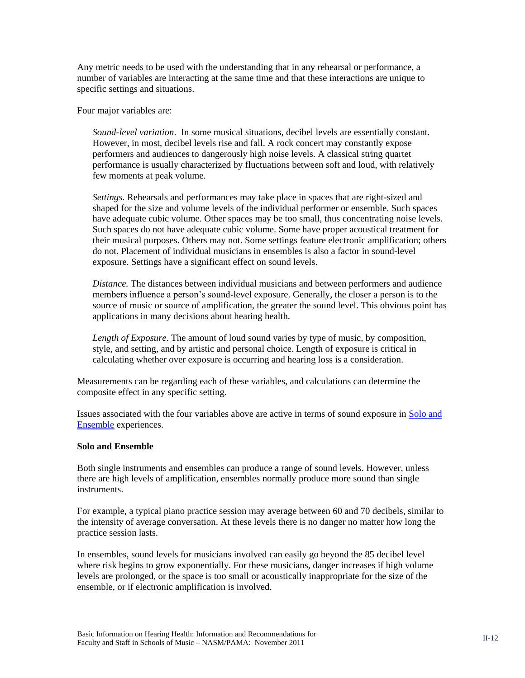Any metric needs to be used with the understanding that in any rehearsal or performance, a number of variables are interacting at the same time and that these interactions are unique to specific settings and situations.

Four major variables are:

*Sound-level variation*. In some musical situations, decibel levels are essentially constant. However, in most, decibel levels rise and fall. A rock concert may constantly expose performers and audiences to dangerously high noise levels. A classical string quartet performance is usually characterized by fluctuations between soft and loud, with relatively few moments at peak volume.

*Settings*. Rehearsals and performances may take place in spaces that are right-sized and shaped for the size and volume levels of the individual performer or ensemble. Such spaces have adequate cubic volume. Other spaces may be too small, thus concentrating noise levels. Such spaces do not have adequate cubic volume. Some have proper acoustical treatment for their musical purposes. Others may not. Some settings feature electronic amplification; others do not. Placement of individual musicians in ensembles is also a factor in sound-level exposure. Settings have a significant effect on sound levels.

*Distance.* The distances between individual musicians and between performers and audience members influence a person's sound-level exposure. Generally, the closer a person is to the source of music or source of amplification, the greater the sound level. This obvious point has applications in many decisions about hearing health.

*Length of Exposure*. The amount of loud sound varies by type of music, by composition, style, and setting, and by artistic and personal choice. Length of exposure is critical in calculating whether over exposure is occurring and hearing loss is a consideration.

Measurements can be regarding each of these variables, and calculations can determine the composite effect in any specific setting.

Issues associated with the four variables above are active in terms of sound exposure in [Solo and](#page-11-0)  [Ensemble](#page-11-0) experiences.

#### <span id="page-11-0"></span>**Solo and Ensemble**

Both single instruments and ensembles can produce a range of sound levels. However, unless there are high levels of amplification, ensembles normally produce more sound than single instruments.

For example, a typical piano practice session may average between 60 and 70 decibels, similar to the intensity of average conversation. At these levels there is no danger no matter how long the practice session lasts.

In ensembles, sound levels for musicians involved can easily go beyond the 85 decibel level where risk begins to grow exponentially. For these musicians, danger increases if high volume levels are prolonged, or the space is too small or acoustically inappropriate for the size of the ensemble, or if electronic amplification is involved.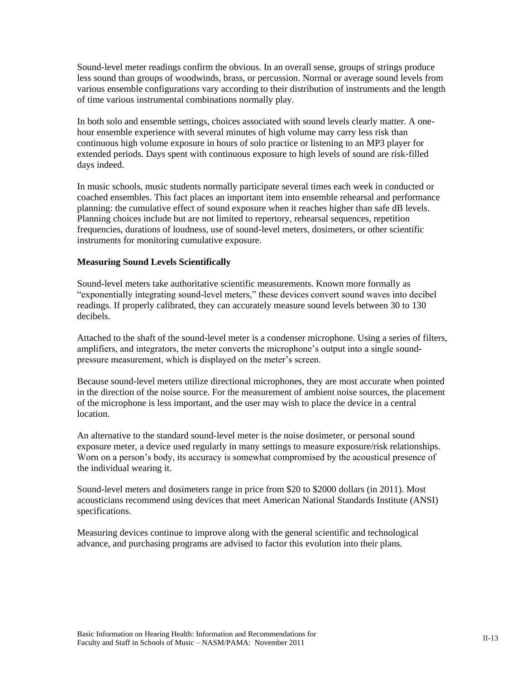Sound-level meter readings confirm the obvious. In an overall sense, groups of strings produce less sound than groups of woodwinds, brass, or percussion. Normal or average sound levels from various ensemble configurations vary according to their distribution of instruments and the length of time various instrumental combinations normally play.

In both solo and ensemble settings, choices associated with sound levels clearly matter. A onehour ensemble experience with several minutes of high volume may carry less risk than continuous high volume exposure in hours of solo practice or listening to an MP3 player for extended periods. Days spent with continuous exposure to high levels of sound are risk-filled days indeed.

In music schools, music students normally participate several times each week in conducted or coached ensembles. This fact places an important item into ensemble rehearsal and performance planning: the cumulative effect of sound exposure when it reaches higher than safe dB levels. Planning choices include but are not limited to repertory, rehearsal sequences, repetition frequencies, durations of loudness, use of sound-level meters, dosimeters, or other scientific instruments for monitoring cumulative exposure.

#### <span id="page-12-0"></span>**Measuring Sound Levels Scientifically**

Sound-level meters take authoritative scientific measurements. Known more formally as "exponentially integrating sound-level meters," these devices convert sound waves into decibel readings. If properly calibrated, they can accurately measure sound levels between 30 to 130 decibels.

Attached to the shaft of the sound-level meter is a condenser microphone. Using a series of filters, amplifiers, and integrators, the meter converts the microphone's output into a single soundpressure measurement, which is displayed on the meter's screen.

Because sound-level meters utilize directional microphones, they are most accurate when pointed in the direction of the noise source. For the measurement of ambient noise sources, the placement of the microphone is less important, and the user may wish to place the device in a central location.

An alternative to the standard sound-level meter is the noise dosimeter, or personal sound exposure meter, a device used regularly in many settings to measure exposure/risk relationships. Worn on a person's body, its accuracy is somewhat compromised by the acoustical presence of the individual wearing it.

Sound-level meters and dosimeters range in price from \$20 to \$2000 dollars (in 2011). Most acousticians recommend using devices that meet American National Standards Institute (ANSI) specifications.

Measuring devices continue to improve along with the general scientific and technological advance, and purchasing programs are advised to factor this evolution into their plans.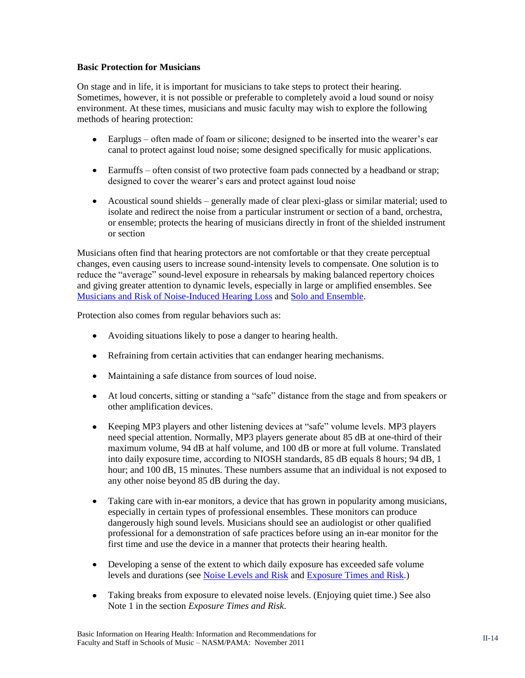#### <span id="page-13-0"></span>**Basic Protection for Musicians**

On stage and in life, it is important for musicians to take steps to protect their hearing. Sometimes, however, it is not possible or preferable to completely avoid a loud sound or noisy environment. At these times, musicians and music faculty may wish to explore the following methods of hearing protection:

- Earplugs often made of foam or silicone; designed to be inserted into the wearer's ear canal to protect against loud noise; some designed specifically for music applications.
- Earmuffs often consist of two protective foam pads connected by a headband or strap; designed to cover the wearer's ears and protect against loud noise
- Acoustical sound shields generally made of clear plexi-glass or similar material; used to isolate and redirect the noise from a particular instrument or section of a band, orchestra, or ensemble; protects the hearing of musicians directly in front of the shielded instrument or section

Musicians often find that hearing protectors are not comfortable or that they create perceptual changes, even causing users to increase sound-intensity levels to compensate. One solution is to reduce the "average" sound-level exposure in rehearsals by making balanced repertory choices and giving greater attention to dynamic levels, especially in large or amplified ensembles. See [Musicians and Risk of Noise-Induced Hearing Loss](#page-10-0) and [Solo and Ensemble.](#page-11-0)

Protection also comes from regular behaviors such as:

- Avoiding situations likely to pose a danger to hearing health.
- Refraining from certain activities that can endanger hearing mechanisms.
- Maintaining a safe distance from sources of loud noise.
- At loud concerts, sitting or standing a "safe" distance from the stage and from speakers or other amplification devices.
- Keeping MP3 players and other listening devices at "safe" volume levels. MP3 players need special attention. Normally, MP3 players generate about 85 dB at one-third of their maximum volume, 94 dB at half volume, and 100 dB or more at full volume. Translated into daily exposure time, according to NIOSH standards, 85 dB equals 8 hours; 94 dB, 1 hour; and 100 dB, 15 minutes. These numbers assume that an individual is not exposed to any other noise beyond 85 dB during the day.
- Taking care with in-ear monitors, a device that has grown in popularity among musicians, especially in certain types of professional ensembles. These monitors can produce dangerously high sound levels. Musicians should see an audiologist or other qualified professional for a demonstration of safe practices before using an in-ear monitor for the first time and use the device in a manner that protects their hearing health.
- Developing a sense of the extent to which daily exposure has exceeded safe volume levels and durations (see [Noise Levels and Risk](#page-8-0) and [Exposure Times and Risk.](#page-9-0))
- Taking breaks from exposure to elevated noise levels. (Enjoying quiet time.) See also Note 1 in the section *Exposure Times and Risk*.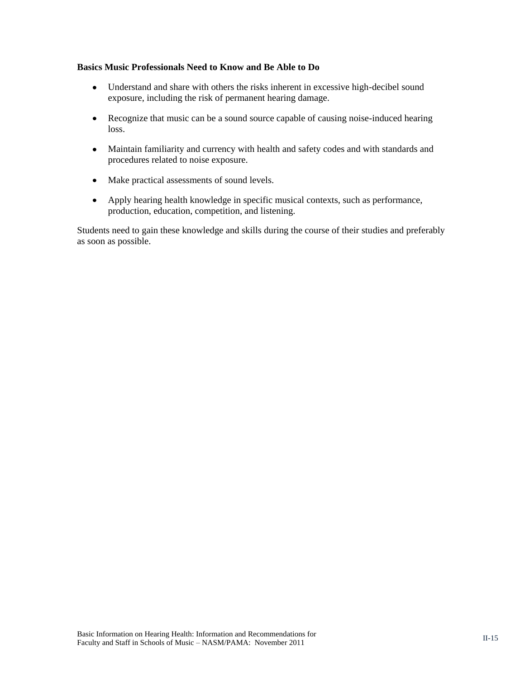#### <span id="page-14-0"></span>**Basics Music Professionals Need to Know and Be Able to Do**

- Understand and share with others the risks inherent in excessive high-decibel sound exposure, including the risk of permanent hearing damage.
- $\bullet$ Recognize that music can be a sound source capable of causing noise-induced hearing loss.
- Maintain familiarity and currency with health and safety codes and with standards and  $\bullet$ procedures related to noise exposure.
- Make practical assessments of sound levels.
- Apply hearing health knowledge in specific musical contexts, such as performance, production, education, competition, and listening.

Students need to gain these knowledge and skills during the course of their studies and preferably as soon as possible.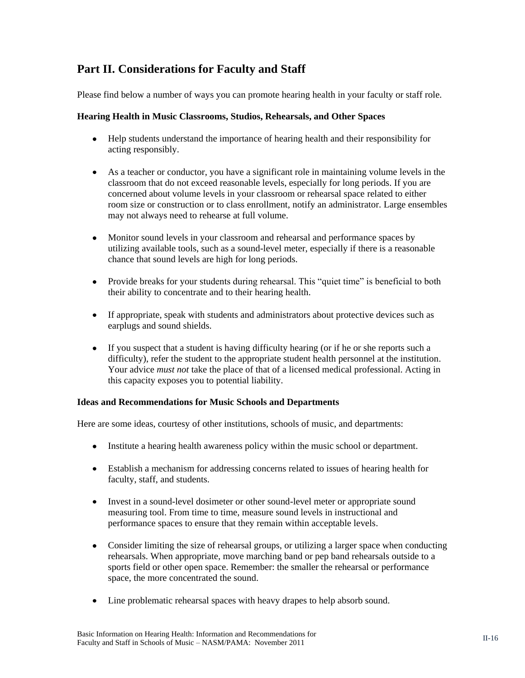# <span id="page-15-0"></span>**Part II. Considerations for Faculty and Staff**

Please find below a number of ways you can promote hearing health in your faculty or staff role.

#### <span id="page-15-1"></span>**Hearing Health in Music Classrooms, Studios, Rehearsals, and Other Spaces**

- Help students understand the importance of hearing health and their responsibility for acting responsibly.
- As a teacher or conductor, you have a significant role in maintaining volume levels in the classroom that do not exceed reasonable levels, especially for long periods. If you are concerned about volume levels in your classroom or rehearsal space related to either room size or construction or to class enrollment, notify an administrator. Large ensembles may not always need to rehearse at full volume.
- Monitor sound levels in your classroom and rehearsal and performance spaces by utilizing available tools, such as a sound-level meter, especially if there is a reasonable chance that sound levels are high for long periods.
- Provide breaks for your students during rehearsal. This "quiet time" is beneficial to both their ability to concentrate and to their hearing health.
- If appropriate, speak with students and administrators about protective devices such as earplugs and sound shields.
- If you suspect that a student is having difficulty hearing (or if he or she reports such a difficulty), refer the student to the appropriate student health personnel at the institution. Your advice *must not* take the place of that of a licensed medical professional. Acting in this capacity exposes you to potential liability.

#### <span id="page-15-2"></span>**Ideas and Recommendations for Music Schools and Departments**

Here are some ideas, courtesy of other institutions, schools of music, and departments:

- Institute a hearing health awareness policy within the music school or department.
- Establish a mechanism for addressing concerns related to issues of hearing health for faculty, staff, and students.
- Invest in a sound-level dosimeter or other sound-level meter or appropriate sound measuring tool. From time to time, measure sound levels in instructional and performance spaces to ensure that they remain within acceptable levels.
- Consider limiting the size of rehearsal groups, or utilizing a larger space when conducting rehearsals. When appropriate, move marching band or pep band rehearsals outside to a sports field or other open space. Remember: the smaller the rehearsal or performance space, the more concentrated the sound.
- Line problematic rehearsal spaces with heavy drapes to help absorb sound.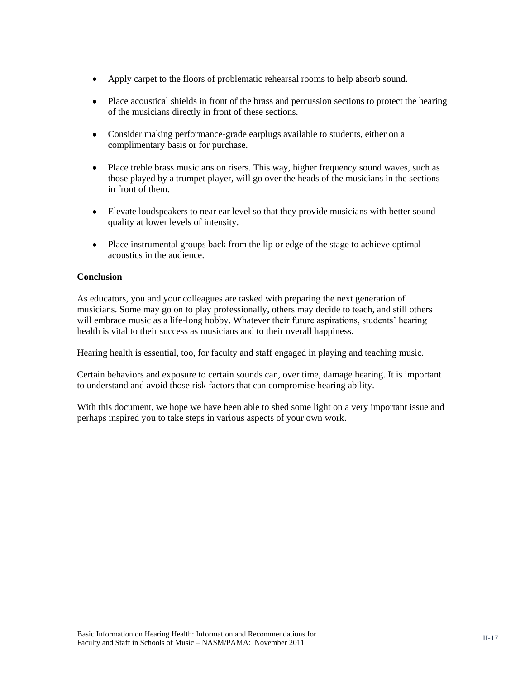- Apply carpet to the floors of problematic rehearsal rooms to help absorb sound.  $\bullet$
- Place acoustical shields in front of the brass and percussion sections to protect the hearing of the musicians directly in front of these sections.
- Consider making performance-grade earplugs available to students, either on a complimentary basis or for purchase.
- Place treble brass musicians on risers. This way, higher frequency sound waves, such as those played by a trumpet player, will go over the heads of the musicians in the sections in front of them.
- Elevate loudspeakers to near ear level so that they provide musicians with better sound quality at lower levels of intensity.
- Place instrumental groups back from the lip or edge of the stage to achieve optimal acoustics in the audience.

#### <span id="page-16-0"></span>**Conclusion**

As educators, you and your colleagues are tasked with preparing the next generation of musicians. Some may go on to play professionally, others may decide to teach, and still others will embrace music as a life-long hobby. Whatever their future aspirations, students' hearing health is vital to their success as musicians and to their overall happiness.

Hearing health is essential, too, for faculty and staff engaged in playing and teaching music.

Certain behaviors and exposure to certain sounds can, over time, damage hearing. It is important to understand and avoid those risk factors that can compromise hearing ability.

With this document, we hope we have been able to shed some light on a very important issue and perhaps inspired you to take steps in various aspects of your own work.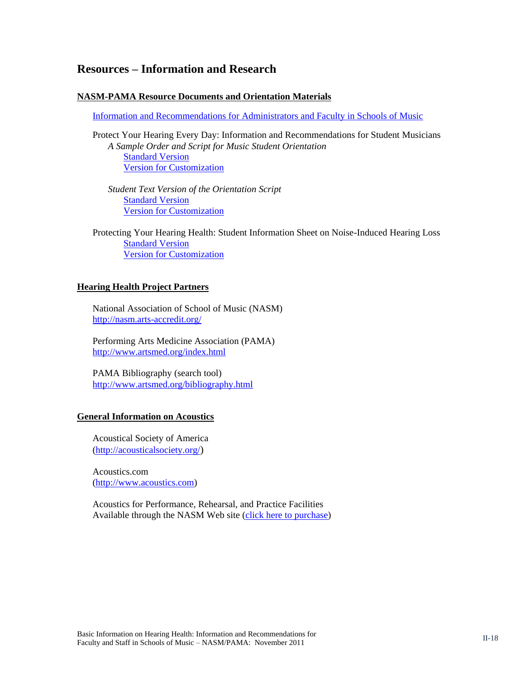### <span id="page-17-0"></span>**Resources – Information and Research**

#### **NASM-PAMA Resource Documents and Orientation Materials**

[Information and Recommendations for Administrators and Faculty in Schools of Music](http://nasm.arts-accredit.org/site/docs/PAMA-NASM_Advisories/1_NASM_PAMA-Admin_and_Faculty_2011Nov.pdf)

Protect Your Hearing Every Day: Information and Recommendations for Student Musicians *A Sample Order and Script for Music Student Orientation* [Standard Version](http://nasm.arts-accredit.org/site/docs/PAMA-NASM_Advisories/3a_NASM_PAMA-Student_Orientation_Script-Standard.pdf) [Version for Customization](http://nasm.arts-accredit.org/site/docs/PAMA-NASM_Advisories/3b_NASM_PAMA-Student_Orientation_Script-Custom.pdf)

*Student Text Version of the Orientation Script* [Standard Version](http://nasm.arts-accredit.org/site/docs/PAMA-NASM_Advisories/4a_NASM_PAMA-Student_Guide-Standard.pdf) [Version for Customization](http://nasm.arts-accredit.org/site/docs/PAMA-NASM_Advisories/4b_NASM_PAMA-Student_Guide-Custom.pdf)

Protecting Your Hearing Health: Student Information Sheet on Noise-Induced Hearing Loss [Standard Version](http://nasm.arts-accredit.org/site/docs/PAMA-NASM_Advisories/5a_NASM_PAMA-Student_Information_Sheet-Standard.pdf) [Version for Customization](http://nasm.arts-accredit.org/site/docs/PAMA-NASM_Advisories/5b_NASM_PAMA-Student_Information_Sheet-Custom.pdf)

#### **Hearing Health Project Partners**

National Association of School of Music (NASM) <http://nasm.arts-accredit.org/>

Performing Arts Medicine Association (PAMA) <http://www.artsmed.org/index.html>

PAMA Bibliography (search tool) <http://www.artsmed.org/bibliography.html>

#### **General Information on Acoustics**

Acoustical Society of America [\(http://acousticalsociety.org/](http://acousticalsociety.org/))

Acoustics.com [\(http://www.acoustics.com\)](http://www.acoustics.com/)

Acoustics for Performance, Rehearsal, and Practice Facilities Available through the NASM Web site [\(click here to purchase\)](http://nasm.arts-accredit.org/index.jsp?page=Catalog&itemId=7dd5482738ef7ff7de8e351d086350d6)